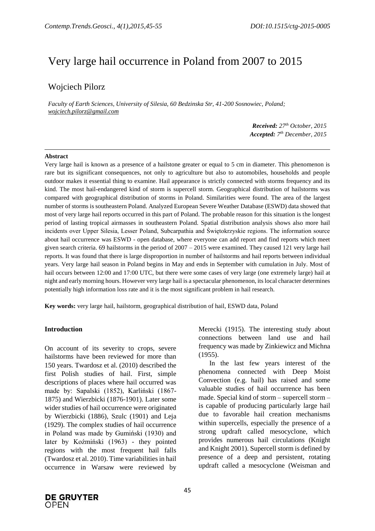# Very large hail occurrence in Poland from 2007 to 2015

# Wojciech Pilorz

*Faculty of Earth Sciences, University of Silesia, 60 Bedzinska Str, 41-200 Sosnowiec, Poland; wojciech.pilorz@gmail.com*

> *Received: 27 th October, 2015 Accepted: 7 th December, 2015*

#### **Abstract**

Very large hail is known as a presence of a hailstone greater or equal to 5 cm in diameter. This phenomenon is rare but its significant consequences, not only to agriculture but also to automobiles, households and people outdoor makes it essential thing to examine. Hail appearance is strictly connected with storms frequency and its kind. The most hail-endangered kind of storm is supercell storm. Geographical distribution of hailstorms was compared with geographical distribution of storms in Poland. Similarities were found. The area of the largest number of storms is southeastern Poland. Analyzed European Severe Weather Database (ESWD) data showed that most of very large hail reports occurred in this part of Poland. The probable reason for this situation is the longest period of lasting tropical airmasses in southeastern Poland. Spatial distribution analysis shows also more hail incidents over Upper Silesia, Lesser Poland, Subcarpathia and Świętokrzyskie regions. The information source about hail occurrence was ESWD - open database, where everyone can add report and find reports which meet given search criteria. 69 hailstorms in the period of 2007 – 2015 were examined. They caused 121 very large hail reports. It was found that there is large disproportion in number of hailstorms and hail reports between individual years. Very large hail season in Poland begins in May and ends in September with cumulation in July. Most of hail occurs between 12:00 and 17:00 UTC, but there were some cases of very large (one extremely large) hail at night and early morning hours. However very large hail is a spectacular phenomenon, its local character determines potentially high information loss rate and it is the most significant problem in hail research.

**Key words:** very large hail, hailstorm, geographical distribution of hail, ESWD data, Poland

## **Introduction**

On account of its severity to crops, severe hailstorms have been reviewed for more than 150 years. Twardosz et al. (2010) described the first Polish studies of hail. First, simple descriptions of places where hail occurred was made by: Sapalski (1852), Karliński (1867- 1875) and Wierzbicki (1876-1901). Later some wider studies of hail occurrence were originated by Wierzbicki (1886), Szulc (1901) and Leja (1929). The complex studies of hail occurrence in Poland was made by Gumiński (1930) and later by Koźmiński (1963) - they pointed regions with the most frequent hail falls (Twardosz et al. 2010). Time variabilities in hail occurrence in Warsaw were reviewed by

Merecki (1915). The interesting study about connections between land use and hail frequency was made by Zinkiewicz and Michna (1955).

In the last few years interest of the phenomena connected with Deep Moist Convection (e.g. hail) has raised and some valuable studies of hail occurrence has been made. Special kind of storm – supercell storm – is capable of producing particularly large hail due to favorable hail creation mechanisms within supercells, especially the presence of a strong updraft called mesocyclone, which provides numerous hail circulations (Knight and Knight 2001). Supercell storm is defined by presence of a deep and persistent, rotating updraft called a mesocyclone (Weisman and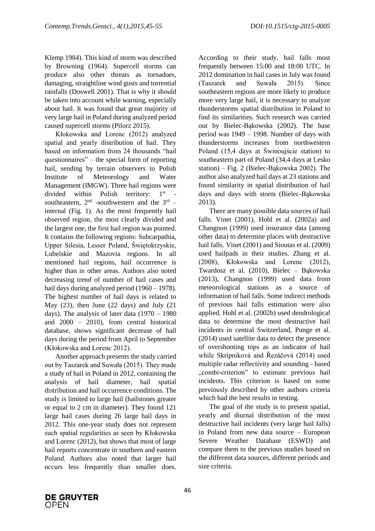Klemp 1984). This kind of storm was described by Browning (1964). Supercell storms can produce also other threats as tornadoes, damaging, straightline wind gusts and torrential rainfalls (Doswell 2001). That is why it should be taken into account while warning, especially about hail. It was found that great majority of very large hail in Poland during analyzed period caused supercell storms (Pilorz 2015).

Kłokowska and Lorenc (2012) analyzed spatial and yearly distribution of hail. They based on information from 24 thousands "hail questionnaires" – the special form of reporting hail, sending by terrain observers to Polish Institute of Meteorology and Water Management (IMGW). Three hail regions were divided within Polish territory:  $1<sup>st</sup>$  southeastern,  $2<sup>nd</sup>$  -southwestern and the  $3<sup>rd</sup>$  internal (Fig. 1). As the most frequently hail observed region, the most clearly divided and the largest one, the first hail region was pointed. It contains the following regions: Subcarpathia, Upper Silesia, Lesser Poland, Świętokrzyskie, Lubelskie and Mazovia regions. In all mentioned hail regions, hail occurrence is higher than in other areas. Authors also noted decreasing trend of number of hail cases and hail days during analyzed period (1960 – 1978). The highest number of hail days is related to May (23), then June (22 days) and July (21 days). The analysis of later data (1970 – 1980 and 2000 – 2010), from central historical database, shows significant decrease of hail days during the period from April to September (Kłokowska and Lorenc 2012).

Another approach presents the study carried out by Taszarek and Suwała (2015). They made a study of hail in Poland in 2012, containing the analysis of hail diameter, hail spatial distribution and hail occurrence conditions. The study is limited to large hail (hailstones greater or equal to 2 cm in diameter). They found 121 large hail cases during 26 large hail days in 2012. This one-year study does not represent such spatial regularities as seen by Kłokowska and Lorenc (2012), but shows that most of large hail reports concentrate in southern and eastern Poland. Authors also noted that larger hail occurs less frequently than smaller does. According to their study, hail falls most frequently between 15:00 and 18:00 UTC. In 2012 domination in hail cases in July was found (Taszarek and Suwała 2015). Since southeastern regions are more likely to produce more very large hail, it is necessary to analyze thunderstorms spatial distribution in Poland to find its similarities. Such research was carried out by Bielec-Bąkowska (2002). The base period was 1949 – 1998. Number of days with thunderstorms increases from northwestern Poland (15,4 days at Świnoujście station) to southeastern part of Poland (34,4 days at Lesko station) – Fig. 2 (Bielec-Bąkowska 2002). The author also analyzed hail days at 23 stations and found similarity in spatial distribution of hail days and days with storm (Bielec-Bąkowska 2013).

There are many possible data sources of hail falls. Vinet (2001), Hohl et al. (2002a) and Changnon (1999) used insurance data (among other data) to determine places with destructive hail falls. Vinet (2001) and Sioutas et al. (2009) used hailpads in their studies. Zhang et al. (2008), Kłokowska and Lorenc (2012), Twardosz et al. (2010), Bielec – Bąkowska (2013), Changnon (1999) used data from meteorological stations as a source of information of hail falls. Some indirect methods of previous hail falls estimation were also applied. Hohl et al. (2002b) used dendrological data to determine the most destructive hail incidents in central Switzerland, Punge et al. (2014) used satellite data to detect the presence of overshooting tops as an indicator of hail while Skripniková and Řezáčová (2014) used multiple radar reflectivity and sounding - based "combi-criterion" to estimate previous hail incidents. This criterion is based on some previously described by other authors criteria which had the best results in testing.

The goal of the study is to present spatial, yearly and diurnal distribution of the most destructive hail incidents (very large hail falls) in Poland from new data source – European Severe Weather Database (ESWD) and compare them to the previous studies based on the different data sources, different periods and size criteria.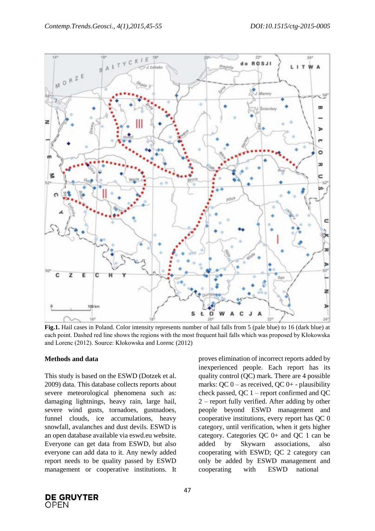

**Fig.1.** Hail cases in Poland. Color intensity represents number of hail falls from 5 (pale blue) to 16 (dark blue) at each point. Dashed red line shows the regions with the most frequent hail falls which was proposed by Kłokowska and Lorenc (2012). Source: Kłokowska and Lorenc (2012)

#### **Methods and data**

This study is based on the ESWD (Dotzek et al. 2009) data. This database collects reports about severe meteorological phenomena such as: damaging lightnings, heavy rain, large hail, severe wind gusts, tornadoes, gustnadoes, funnel clouds, ice accumulations, heavy snowfall, avalanches and dust devils. ESWD is an open database available via eswd.eu website. Everyone can get data from ESWD, but also everyone can add data to it. Any newly added report needs to be quality passed by ESWD management or cooperative institutions. It

proves elimination of incorrect reports added by inexperienced people. Each report has its quality control (QC) mark. There are 4 possible marks: QC  $0 -$  as received, QC  $0 +$  - plausibility check passed, QC 1 – report confirmed and QC 2 – report fully verified. After adding by other people beyond ESWD management and cooperative institutions, every report has QC 0 category, until verification, when it gets higher category. Categories QC 0+ and QC 1 can be added by Skywarn associations, also cooperating with ESWD; QC 2 category can only be added by ESWD management and cooperating with ESWD national

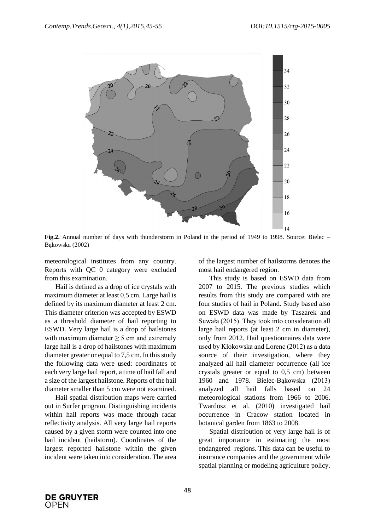

**Fig.2.** Annual number of days with thunderstorm in Poland in the period of 1949 to 1998. Source: Bielec – Bąkowska (2002)

meteorological institutes from any country. Reports with QC 0 category were excluded from this examination.

Hail is defined as a drop of ice crystals with maximum diameter at least 0,5 cm. Large hail is defined by its maximum diameter at least 2 cm. This diameter criterion was accepted by ESWD as a threshold diameter of hail reporting to ESWD. Very large hail is a drop of hailstones with maximum diameter  $\geq$  5 cm and extremely large hail is a drop of hailstones with maximum diameter greater or equal to 7,5 cm. In this study the following data were used: coordinates of each very large hail report, a time of hail fall and a size of the largest hailstone. Reports of the hail diameter smaller than 5 cm were not examined.

Hail spatial distribution maps were carried out in Surfer program. Distinguishing incidents within hail reports was made through radar reflectivity analysis. All very large hail reports caused by a given storm were counted into one hail incident (hailstorm). Coordinates of the largest reported hailstone within the given incident were taken into consideration. The area of the largest number of hailstorms denotes the most hail endangered region.

This study is based on ESWD data from 2007 to 2015. The previous studies which results from this study are compared with are four studies of hail in Poland. Study based also on ESWD data was made by Taszarek and Suwała (2015). They took into consideration all large hail reports (at least 2 cm in diameter), only from 2012. Hail questionnaires data were used by Kłokowska and Lorenc (2012) as a data source of their investigation, where they analyzed all hail diameter occurrence (all ice crystals greater or equal to 0,5 cm) between 1960 and 1978. Bielec-Bąkowska (2013) analyzed all hail falls based on 24 meteorological stations from 1966 to 2006. Twardosz et al. (2010) investigated hail occurrence in Cracow station located in botanical garden from 1863 to 2008.

Spatial distribution of very large hail is of great importance in estimating the most endangered regions. This data can be useful to insurance companies and the government while spatial planning or modeling agriculture policy.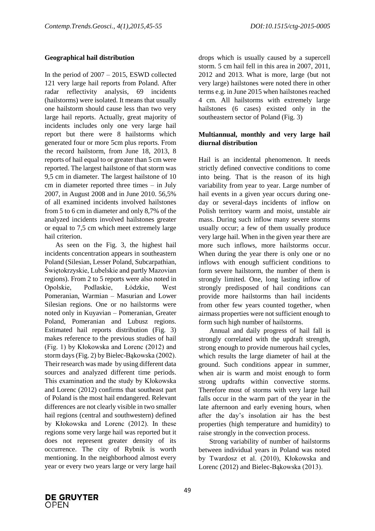## **Geographical hail distribution**

In the period of 2007 – 2015, ESWD collected 121 very large hail reports from Poland. After radar reflectivity analysis, 69 incidents (hailstorms) were isolated. It means that usually one hailstorm should cause less than two very large hail reports. Actually, great majority of incidents includes only one very large hail report but there were 8 hailstorms which generated four or more 5cm plus reports. From the record hailstorm, from June 18, 2013, 8 reports of hail equal to or greater than 5 cm were reported. The largest hailstone of that storm was 9,5 cm in diameter. The largest hailstone of 10 cm in diameter reported three times – in July 2007, in August 2008 and in June 2010. 56,5% of all examined incidents involved hailstones from 5 to 6 cm in diameter and only 8,7% of the analyzed incidents involved hailstones greater or equal to 7,5 cm which meet extremely large hail criterion.

As seen on the Fig. 3, the highest hail incidents concentration appears in southeastern Poland (Silesian, Lesser Poland, Subcarpathian, Świętokrzyskie, Lubelskie and partly Mazovian regions). From 2 to 5 reports were also noted in Opolskie, Podlaskie, Łódzkie, West Pomeranian, Warmian – Masurian and Lower Silesian regions. One or no hailstorms were noted only in Kuyavian – Pomeranian, Greater Poland, Pomeranian and Lubusz regions. Estimated hail reports distribution (Fig. 3) makes reference to the previous studies of hail (Fig. 1) by Kłokowska and Lorenc (2012) and storm days (Fig. 2) by Bielec-Bąkowska (2002). Their research was made by using different data sources and analyzed different time periods. This examination and the study by Kłokowska and Lorenc (2012) confirms that southeast part of Poland is the most hail endangered. Relevant differences are not clearly visible in two smaller hail regions (central and southwestern) defined by Kłokowska and Lorenc (2012). In these regions some very large hail was reported but it does not represent greater density of its occurrence. The city of Rybnik is worth mentioning. In the neighborhood almost every year or every two years large or very large hail

drops which is usually caused by a supercell storm. 5 cm hail fell in this area in 2007, 2011, 2012 and 2013. What is more, large (but not very large) hailstones were noted there in other terms e.g. in June 2015 when hailstones reached 4 cm. All hailstorms with extremely large hailstones (6 cases) existed only in the southeastern sector of Poland (Fig. 3)

## **Multiannual, monthly and very large hail diurnal distribution**

Hail is an incidental phenomenon. It needs strictly defined convective conditions to come into being. That is the reason of its high variability from year to year. Large number of hail events in a given year occurs during oneday or several-days incidents of inflow on Polish territory warm and moist, unstable air mass. During such inflow many severe storms usually occur; a few of them usually produce very large hail. When in the given year there are more such inflows, more hailstorms occur. When during the year there is only one or no inflows with enough sufficient conditions to form severe hailstorm, the number of them is strongly limited. One, long lasting inflow of strongly predisposed of hail conditions can provide more hailstorms than hail incidents from other few years counted together, when airmass properties were not sufficient enough to form such high number of hailstorms.

Annual and daily progress of hail fall is strongly correlated with the updraft strength, strong enough to provide numerous hail cycles, which results the large diameter of hail at the ground. Such conditions appear in summer, when air is warm and moist enough to form strong updrafts within convective storms. Therefore most of storms with very large hail falls occur in the warm part of the year in the late afternoon and early evening hours, when after the day's insolation air has the best properties (high temperature and humidity) to raise strongly in the convection process.

Strong variability of number of hailstorms between individual years in Poland was noted by Twardosz et al. (2010), Kłokowska and Lorenc (2012) and Bielec-Bąkowska (2013).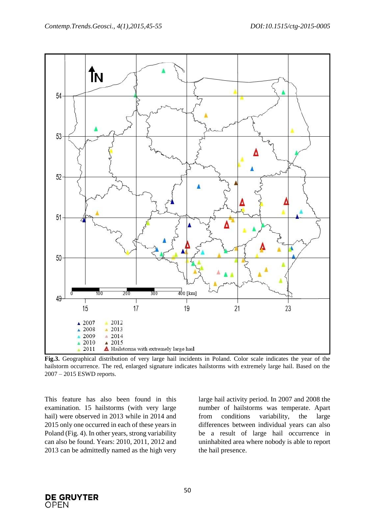

**Fig.3.** Geographical distribution of very large hail incidents in Poland. Color scale indicates the year of the hailstorm occurrence. The red, enlarged signature indicates hailstorms with extremely large hail. Based on the 2007 – 2015 ESWD reports.

This feature has also been found in this examination. 15 hailstorms (with very large hail) were observed in 2013 while in 2014 and 2015 only one occurred in each of these years in Poland (Fig. 4). In other years, strong variability can also be found. Years: 2010, 2011, 2012 and 2013 can be admittedly named as the high very large hail activity period. In 2007 and 2008 the number of hailstorms was temperate. Apart from conditions variability, the large differences between individual years can also be a result of large hail occurrence in uninhabited area where nobody is able to report the hail presence.

**DE GRUYTER OPEN**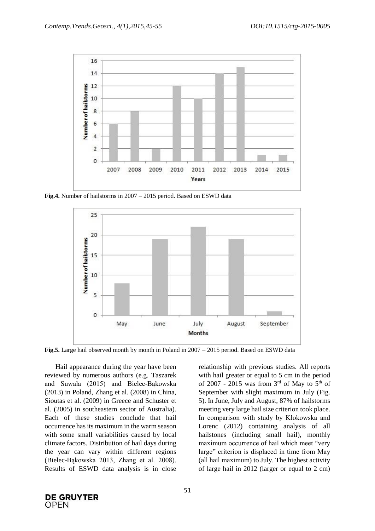

**Fig.4.** Number of hailstorms in 2007 – 2015 period. Based on ESWD data



**Fig.5.** Large hail observed month by month in Poland in 2007 – 2015 period. Based on ESWD data

Hail appearance during the year have been reviewed by numerous authors (e.g. Taszarek and Suwała (2015) and Bielec-Bąkowska (2013) in Poland, Zhang et al. (2008) in China, Sioutas et al. (2009) in Greece and Schuster et al. (2005) in southeastern sector of Australia). Each of these studies conclude that hail occurrence has its maximum in the warm season with some small variabilities caused by local climate factors. Distribution of hail days during the year can vary within different regions (Bielec-Bąkowska 2013, Zhang et al. 2008). Results of ESWD data analysis is in close

relationship with previous studies. All reports with hail greater or equal to 5 cm in the period of 2007 - 2015 was from  $3<sup>rd</sup>$  of May to  $5<sup>th</sup>$  of September with slight maximum in July (Fig. 5). In June, July and August, 87% of hailstorms meeting very large hail size criterion took place. In comparison with study by Kłokowska and Lorenc (2012) containing analysis of all hailstones (including small hail), monthly maximum occurrence of hail which meet "very large" criterion is displaced in time from May (all hail maximum) to July. The highest activity of large hail in 2012 (larger or equal to 2 cm)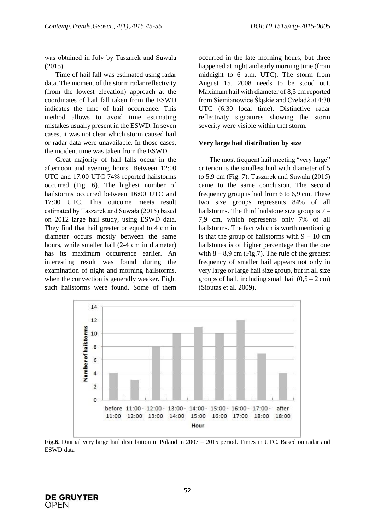was obtained in July by Taszarek and Suwała (2015).

Time of hail fall was estimated using radar data. The moment of the storm radar reflectivity (from the lowest elevation) approach at the coordinates of hail fall taken from the ESWD indicates the time of hail occurrence. This method allows to avoid time estimating mistakes usually present in the ESWD. In seven cases, it was not clear which storm caused hail or radar data were unavailable. In those cases, the incident time was taken from the ESWD.

Great majority of hail falls occur in the afternoon and evening hours. Between 12:00 UTC and 17:00 UTC 74% reported hailstorms occurred (Fig. 6). The highest number of hailstorms occurred between 16:00 UTC and 17:00 UTC. This outcome meets result estimated by Taszarek and Suwała (2015) based on 2012 large hail study, using ESWD data. They find that hail greater or equal to 4 cm in diameter occurs mostly between the same hours, while smaller hail (2-4 cm in diameter) has its maximum occurrence earlier. An interesting result was found during the examination of night and morning hailstorms, when the convection is generally weaker. Eight such hailstorms were found. Some of them occurred in the late morning hours, but three happened at night and early morning time (from midnight to 6 a.m. UTC). The storm from August 15, 2008 needs to be stood out. Maximum hail with diameter of 8,5 cm reported from Siemianowice Śląskie and Czeladź at 4:30 UTC (6:30 local time). Distinctive radar reflectivity signatures showing the storm severity were visible within that storm.

## **Very large hail distribution by size**

The most frequent hail meeting "very large" criterion is the smallest hail with diameter of 5 to 5,9 cm (Fig. 7). Taszarek and Suwała (2015) came to the same conclusion. The second frequency group is hail from 6 to 6,9 cm. These two size groups represents 84% of all hailstorms. The third hailstone size group is  $7 -$ 7,9 cm, which represents only 7% of all hailstorms. The fact which is worth mentioning is that the group of hailstorms with  $9 - 10$  cm hailstones is of higher percentage than the one with  $8 - 8.9$  cm (Fig.7). The rule of the greatest frequency of smaller hail appears not only in very large or large hail size group, but in all size groups of hail, including small hail  $(0,5 - 2$  cm) (Sioutas et al. 2009).



**Fig.6.** Diurnal very large hail distribution in Poland in 2007 – 2015 period. Times in UTC. Based on radar and ESWD data

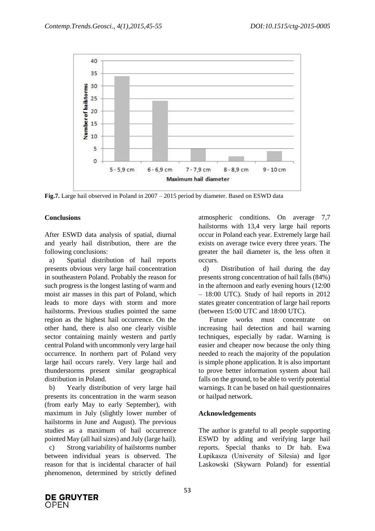

**Fig.7.** Large hail observed in Poland in 2007 – 2015 period by diameter. Based on ESWD data

# **Conclusions**

After ESWD data analysis of spatial, diurnal and yearly hail distribution, there are the following conclusions:

a) Spatial distribution of hail reports presents obvious very large hail concentration in southeastern Poland. Probably the reason for such progress is the longest lasting of warm and moist air masses in this part of Poland, which leads to more days with storm and more hailstorms. Previous studies pointed the same region as the highest hail occurrence. On the other hand, there is also one clearly visible sector containing mainly western and partly central Poland with uncommonly very large hail occurrence. In northern part of Poland very large hail occurs rarely. Very large hail and thunderstorms present similar geographical distribution in Poland.

b) Yearly distribution of very large hail presents its concentration in the warm season (from early May to early September), with maximum in July (slightly lower number of hailstorms in June and August). The previous studies as a maximum of hail occurrence pointed May (all hail sizes) and July (large hail). c) Strong variability of hailstorms number between individual years is observed. The reason for that is incidental character of hail phenomenon, determined by strictly defined

atmospheric conditions. On average 7,7 hailstorms with 13,4 very large hail reports occur in Poland each year. Extremely large hail exists on average twice every three years. The greater the hail diameter is, the less often it occurs.

d) Distribution of hail during the day presents strong concentration of hail falls (84%) in the afternoon and early evening hours (12:00 – 18:00 UTC). Study of hail reports in 2012 states greater concentration of large hail reports (between 15:00 UTC and 18:00 UTC).

Future works must concentrate on increasing hail detection and hail warning techniques, especially by radar. Warning is easier and cheaper now because the only thing needed to reach the majority of the population is simple phone application. It is also important to prove better information system about hail falls on the ground, to be able to verify potential warnings. It can be based on hail questionnaires or hailpad network.

# **Acknowledgements**

The author is grateful to all people supporting ESWD by adding and verifying large hail reports. Special thanks to Dr hab. Ewa Łupikasza (University of Silesia) and Igor Laskowski (Skywarn Poland) for essential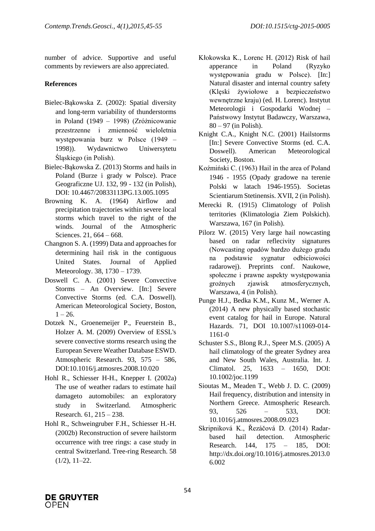number of advice. Supportive and useful comments by reviewers are also appreciated.

# **References**

- Bielec-Bąkowska Z. (2002): Spatial diversity and long-term variability of thunderstorms in Poland (1949 – 1998) (Zróżnicowanie przestrzenne i zmienność wieloletnia występowania burz w Polsce (1949 – 1998)). Wydawnictwo Uniwersytetu Śląskiego (in Polish).
- Bielec-Bąkowska Z. (2013) Storms and hails in Poland (Burze i grady w Polsce). Prace Geograficzne UJ. 132, 99 - 132 (in Polish), DOI: 10.4467/20833113PG.13.005.1095
- Browning K. A. (1964) Airflow and precipitation trajectories within severe local storms which travel to the right of the winds. Journal of the Atmospheric Sciences. 21, 664 – 668.
- Changnon S. A. (1999) Data and approaches for determining hail risk in the contiguous United States. Journal of Applied Meteorology. 38, 1730 – 1739.
- Doswell C. A. (2001) Severe Convective Storms – An Overview. [In:] Severe Convective Storms (ed. C.A. Doswell). American Meteorological Society, Boston,  $1 - 26.$
- Dotzek N., Groenemeijer P., Feuerstein B., Holzer A. M. (2009) Overview of ESSL's severe convective storms research using the European Severe Weather Database ESWD. Atmospheric Research. 93, 575 – 586, DOI:10.1016/j.atmosres.2008.10.020
- Hohl R., Schiesser H-H., Knepper I. (2002a) The use of weather radars to estimate hail damageto automobiles: an exploratory study in Switzerland. Atmospheric Research. 61, 215 – 238.
- Hohl R., Schweingruber F.H., Schiesser H.-H. (2002b) Reconstruction of severe hailstorm occurrence with tree rings: a case study in central Switzerland. Tree-ring Research. 58  $(1/2)$ ,  $11-22$ .
- Kłokowska K., Lorenc H. (2012) Risk of hail apperance in Poland (Ryzyko występowania gradu w Polsce). [In:] Natural disaster and internal country safety (Klęski żywiołowe a bezpieczeństwo wewnętrzne kraju) (ed. H. Lorenc). Instytut Meteorologii i Gospodarki Wodnej – Państwowy Instytut Badawczy, Warszawa,  $80 - 97$  (in Polish).
- Knight C.A., Knight N.C. (2001) Hailstorms [In:] Severe Convective Storms (ed. C.A. Doswell). American Meteorological Society, Boston.
- Koźmiński C. (1963) Hail in the area of Poland 1946 - 1955 (Opady gradowe na terenie Polski w latach 1946-1955). Societas Scientiarum Stetinensis. XVII, 2 (in Polish).
- Merecki R. (1915) Climatology of Polish territories (Klimatologia Ziem Polskich). Warszawa, 167 (in Polish).
- Pilorz W. (2015) Very large hail nowcasting based on radar reflecivity signatures (Nowcasting opadów bardzo dużego gradu na podstawie sygnatur odbiciowości radarowej). Preprints conf. Naukowe, społeczne i prawne aspekty występowania groźnych zjawisk atmosferycznych, Warszawa, 4 (in Polish).
- Punge H.J., Bedka K.M., Kunz M., Werner A. (2014) A new physically based stochastic event catalog for hail in Europe. Natural Hazards. 71, DOI 10.1007/s11069-014- 1161-0
- Schuster S.S., Blong R.J., Speer M.S. (2005) A hail climatology of the greater Sydney area and New South Wales, Australia. Int. J. Climatol. 25, 1633 – 1650, DOI: 10.1002/joc.1199
- Sioutas M., Meaden T., Webb J. D. C. (2009) Hail frequency, distribution and intensity in Northern Greece. Atmospheric Research. 93, 526 – 533, DOI: 10.1016/j.atmosres.2008.09.023
- Skripniková K., Řezáčová D. (2014) Radarbased hail detection. Atmospheric Research. 144, 175 – 185, DOI: http://dx.doi.org/10.1016/j.atmosres.2013.0 6.002